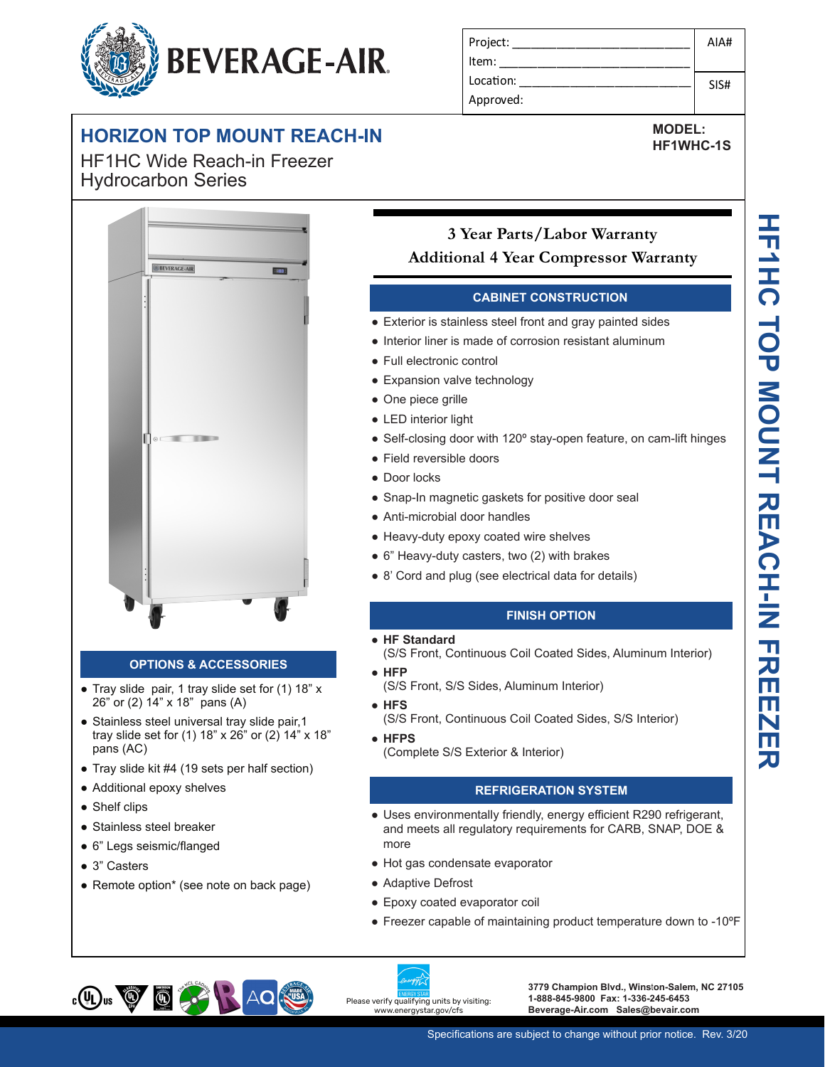# **BEVERAGE-AIR.**

#### **HORIZON TOP MOUNT REACH-IN**

**-10 Secure temperature-sensitive product for worry-free operation** HF1HC Wide Reach-in Freezer Hydrocarbon Series



#### **OPTIONS & ACCESSORIES**

- Tray slide pair, 1 tray slide set for (1) 18" x 26" or (2) 14" x 18" pans (A)
- Stainless steel universal tray slide pair, 1 tray slide set for (1) 18" x 26" or (2) 14" x 18" pans (AC)
- Tray slide kit #4 (19 sets per half section)
- Additional epoxy shelves
- Shelf clips
- Stainless steel breaker
- 6" Legs seismic/flanged
- 3" Casters
- Remote option\* (see note on back page)

| Project:  | AIA# |
|-----------|------|
| l Item:   |      |
| Location: | SIS# |
| Approved: |      |

**HF1WHC-1S**

#### **Sear Parts/Labor Warranty LED indicator Additional 4 Year Compressor Warranty**

#### **CABINET CONSTRUCTION**

- **Secure temperature operator is stainless steel front and gray painted sides**<br>
Person operation is stainless steel front and gray painted sides
	- Interior liner is made of corrosion resistant aluminum
	- **Easy-access test switch for the form of the switch for the switch for the switch for the switch switch switch switch switch switch switch switch switch switch switch switch switch switch switch switch switch switch switch** ● Full electronic control
		- Expansion valve technology
		- One piece grille
		- LED interior light
		- Self-closing door with 120° stay-open feature, on cam-lift hinges
		- Field reversible doors
		- Door locks
		- Snap-In magnetic gaskets for positive door seal
		- Anti-microbial door handles
		- Heavy-duty epoxy coated wire shelves
		- 6" Heavy-duty casters, two (2) with brakes
		- 8' Cord and plug (see electrical data for details)

#### **FINISH OPTION**

- **HF Standard**
- (S/S Front, Continuous Coil Coated Sides, Aluminum Interior) ● **HFP**
- (S/S Front, S/S Sides, Aluminum Interior)
- **HFS**

(S/S Front, Continuous Coil Coated Sides, S/S Interior)

● **HFPS** (Complete S/S Exterior & Interior)

#### **REFRIGERATION SYSTEM**

- Uses environmentally friendly, energy efficient R290 refrigerant, and meets all regulatory requirements for CARB, SNAP, DOE & more
- Hot gas condensate evaporator
- Adaptive Defrost
- Epoxy coated evaporator coil
- Freezer capable of maintaining product temperature down to -10ºF



**3779 Champion Blvd., Wins**t**on-Salem, NC 27105 1-888-845-9800 Fax: 1-336-245-6453 Beverage-Air.com Sales@bevair.com**

### **MODEL:**